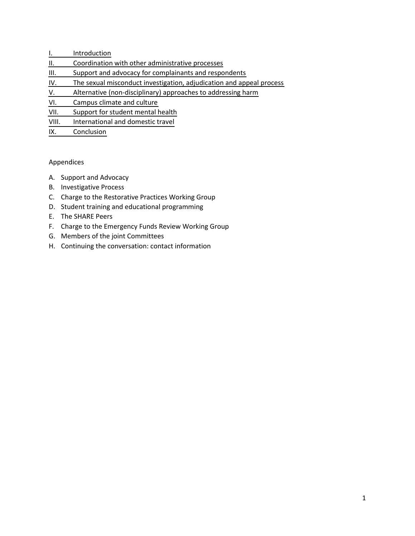- [I. Introduction](#page-1-0)
- [II. Coordination with other administrative processes](#page-2-0)
- [III. Support and advocacy for complainants and respondents](#page-3-0)
- [IV. The sexual misconduct investigation, adjudication and appeal process](#page-6-0)
- [V. Alternative \(non-disciplinary\) approaches to addressing harm](#page-8-0)
- [VI. Campus climate and culture](#page-11-0)
- [VII. Support for student mental health](#page-15-0)
- [VIII. International and domestic travel](#page-17-0)
- [IX. Conclusion](#page-18-0)

# Appendices

- A. Support and Advocacy
- B. Investigative Process
- C. Charge to the Restorative Practices Working Group
- D. Student training and educational programming
- E. The SHARE Peers
- F. Charge to the Emergency Funds Review Working Group
- G. Members of the joint Committees
- H. Continuing the conversation: contact information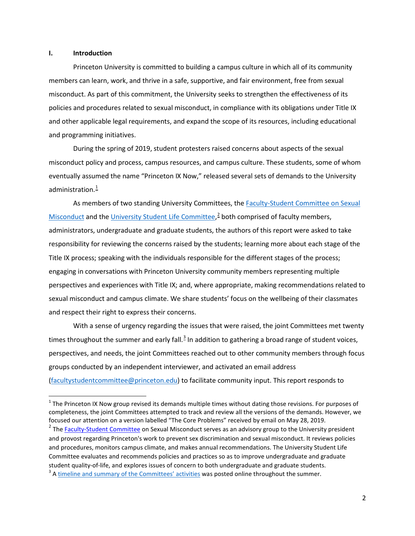### <span id="page-1-0"></span>**I. Introduction**

 $\overline{\phantom{a}}$ 

 Princeton University is committed to building a campus culture in which all of its community and programming initiatives. members can learn, work, and thrive in a safe, supportive, and fair environment, free from sexual misconduct. As part of this commitment, the University seeks to strengthen the effectiveness of its policies and procedures related to sexual misconduct, in compliance with its obligations under Title IX and other applicable legal requirements, and expand the scope of its resources, including educational

 misconduct policy and process, campus resources, and campus culture. These students, some of whom administration. $^1$  $^1$ During the spring of 2019, student protesters raised concerns about aspects of the sexual eventually assumed the name "Princeton IX Now," released several sets of demands to the University

As members of two standing University Committees, the [Faculty-Student Committee on Sexual](https://sexualmisconduct.princeton.edu/faculty-student-committee)  [Misconduct a](https://sexualmisconduct.princeton.edu/faculty-student-committee)nd th[e University Student Life Committee,](https://static1.squarespace.com/static/5a46a96aace86433f0ea985b/t/5a6ddd3be2c4832dd2bc33ea/1517149500087/USLC+Charter.pdf)<sup>[2](#page-1-2)</sup> both comprised of faculty members, administrators, undergraduate and graduate students, the authors of this report were asked to take responsibility for reviewing the concerns raised by the students; learning more about each stage of the Title IX process; speaking with the individuals responsible for the different stages of the process; engaging in conversations with Princeton University community members representing multiple perspectives and experiences with Title IX; and, where appropriate, making recommendations related to sexual misconduct and campus climate. We share students' focus on the wellbeing of their classmates and respect their right to express their concerns.

 With a sense of urgency regarding the issues that were raised, the joint Committees met twenty times throughout the summer and early fall.<sup>[3](#page-1-3)</sup> In addition to gathering a broad range of student voices, [\(facultystudentcommittee@princeton.edu\)](mailto:facultystudentcommittee@princeton.edu) to facilitate community input. This report responds to perspectives, and needs, the joint Committees reached out to other community members through focus groups conducted by an independent interviewer, and activated an email address

<span id="page-1-1"></span> focused our attention on a version labelled "The Core Problems" received by email on May 28, 2019.  $1$  The Princeton IX Now group revised its demands multiple times without dating those revisions. For purposes of completeness, the joint Committees attempted to track and review all the versions of the demands. However, we

<span id="page-1-3"></span><span id="page-1-2"></span>student quality-of-life, and explores issues of concern to both undergraduate and graduate students.<br><sup>3</sup> A <u>timeline and summary of the Committees' activities</u> was posted online throughout the summer. <sup>2</sup> Th[e Faculty-Student Committee o](https://sexualmisconduct.princeton.edu/faculty-student-committee/committee-members)n Sexual Misconduct serves as an advisory group to the University president and provost regarding Princeton's work to prevent sex discrimination and sexual misconduct. It reviews policies and procedures, monitors campus climate, and makes annual recommendations. The University Student Life Committee evaluates and recommends policies and practices so as to improve undergraduate and graduate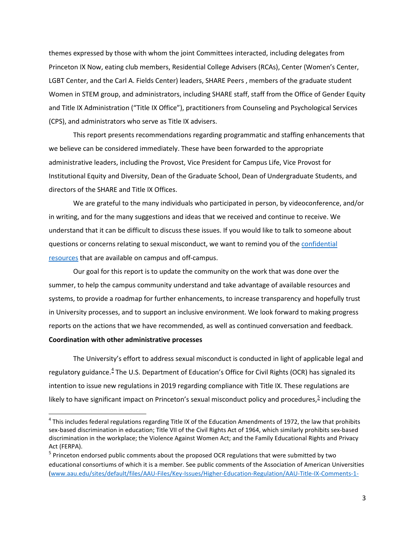<span id="page-2-0"></span> themes expressed by those with whom the joint Committees interacted, including delegates from Princeton IX Now, eating club members, Residential College Advisers (RCAs), Center (Women's Center, LGBT Center, and the Carl A. Fields Center) leaders, SHARE Peers , members of the graduate student Women in STEM group, and administrators, including SHARE staff, staff from the Office of Gender Equity and Title IX Administration ("Title IX Office"), practitioners from Counseling and Psychological Services (CPS), and administrators who serve as Title IX advisers.

 This report presents recommendations regarding programmatic and staffing enhancements that Institutional Equity and Diversity, Dean of the Graduate School, Dean of Undergraduate Students, and we believe can be considered immediately. These have been forwarded to the appropriate administrative leaders, including the Provost, Vice President for Campus Life, Vice Provost for directors of the SHARE and Title IX Offices.

 in writing, and for the many suggestions and ideas that we received and continue to receive. We understand that it can be difficult to discuss these issues. If you would like to talk to someone about questions or concerns relating to sexual misconduct, we want to remind you of the confidential We are grateful to the many individuals who participated in person, by videoconference, and/or [resources t](https://sexualmisconduct.princeton.edu/resources-reporting/resources)hat are available on campus and off-campus.

 Our goal for this report is to update the community on the work that was done over the summer, to help the campus community understand and take advantage of available resources and systems, to provide a roadmap for further enhancements, to increase transparency and hopefully trust reports on the actions that we have recommended, as well as continued conversation and feedback. in University processes, and to support an inclusive environment. We look forward to making progress

## **Coordination with other administrative processes**

 $\overline{a}$ 

 The University's effort to address sexual misconduct is conducted in light of applicable legal and regulatory guidance.<sup>[4](#page-2-1)</sup> The U.S. Department of Education's Office for Civil Rights (OCR) has signaled its intention to issue new regulations in 2019 regarding compliance with Title IX. These regulations are likely to have significant impact on Princeton's sexual misconduct policy and procedures,<sup>[5](#page-2-2)</sup> including the

<span id="page-2-1"></span> $4$  This includes federal regulations regarding Title IX of the Education Amendments of 1972, the law that prohibits sex-based discrimination in education; Title VII of the Civil Rights Act of 1964, which similarly prohibits sex-based discrimination in the workplace; the Violence Against Women Act; and the Family Educational Rights and Privacy Act (FERPA).

<span id="page-2-2"></span><sup>&</sup>lt;sup>5</sup> Princeton endorsed public comments about the proposed OCR regulations that were submitted by two educational consortiums of which it is a member. See public comments of the Association of American Universities [\(www.aau.edu/sites/default/files/AAU-Files/Key-Issues/Higher-Education-Regulation/AAU-Title-IX-Comments-1-](https://www.aau.edu/sites/default/files/AAU-Files/Key-Issues/Higher-Education-Regulation/AAU-Title-IX-Comments-1-24-19.pdf)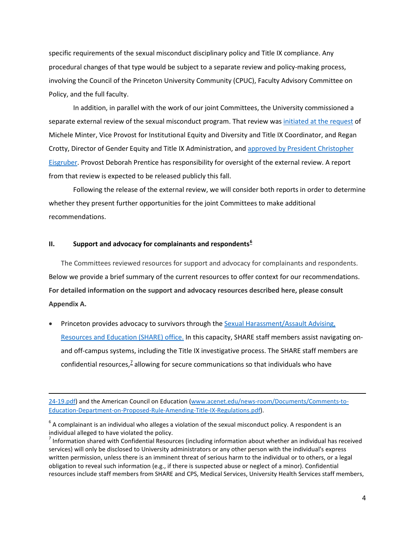<span id="page-3-0"></span> procedural changes of that type would be subject to a separate review and policy-making process, involving the Council of the Princeton University Community (CPUC), Faculty Advisory Committee on Policy, and the full faculty. specific requirements of the sexual misconduct disciplinary policy and Title IX compliance. Any

 Policy, and the full faculty. In addition, in parallel with the work of our joint Committees, the University commissioned a separate external review of the sexual misconduct program. That review was [initiated at the request](https://www.princeton.edu/sites/default/files/documents/2019/05/MinterLetter-5-10-19.pdf) of Michele Minter, Vice Provost for Institutional Equity and Diversity and Title IX Coordinator, and Regan Crotty, Director of Gender Equity and Title IX Administration, an[d approved by President Christopher](https://www.princeton.edu/sites/default/files/documents/2019/05/EisgruberLetter-5-10-19.pdf)  [Eisgruber.](https://www.princeton.edu/sites/default/files/documents/2019/05/EisgruberLetter-5-10-19.pdf) Provost Deborah Prentice has responsibility for oversight of the external review. A report from that review is expected to be released publicly this fall.

Following the release of the external review, we will consider both reports in order to determine whether they present further opportunities for the joint Committees to make additional recommendations.

# **II. Support and advocacy for complainants and respondents[6](#page-3-1)**

 $\overline{\phantom{a}}$ 

 **For detailed information on the support and advocacy resources described here, please consult**  The Committees reviewed resources for support and advocacy for complainants and respondents. Below we provide a brief summary of the current resources to offer context for our recommendations. **Appendix A.** 

confidential resources,<sup>7</sup> allowing for secure communications so that individuals who have Princeton provides advocacy to survivors through the Sexual Harassment/Assault Advising, [Resources and Education \(SHARE\) office.](https://share.princeton.edu/) In this capacity, SHARE staff members assist navigating onand off-campus systems, including the Title IX investigative process. The SHARE staff members are

[24-19.pdf\)](https://www.aau.edu/sites/default/files/AAU-Files/Key-Issues/Higher-Education-Regulation/AAU-Title-IX-Comments-1-24-19.pdf) and the American Council on Education [\(www.acenet.edu/news-room/Documents/Comments-to-](https://www.acenet.edu/Documents/Comments-to-Education-Department-on-Proposed-Rule-Amending-Title-IX-Regulations.pdf)[Education-Department-on-Proposed-Rule-Amending-Title-IX-Regulations.pdf\)](https://www.acenet.edu/Documents/Comments-to-Education-Department-on-Proposed-Rule-Amending-Title-IX-Regulations.pdf).

<span id="page-3-1"></span> $6$  A complainant is an individual who alleges a violation of the sexual misconduct policy. A respondent is an individual alleged to have violated the policy.

<span id="page-3-2"></span> services) will only be disclosed to University administrators or any other person with the individual's express 7 Information shared with Confidential Resources (including information about whether an individual has received written permission, unless there is an imminent threat of serious harm to the individual or to others, or a legal obligation to reveal such information (e.g., if there is suspected abuse or neglect of a minor). Confidential resources include staff members from SHARE and CPS, Medical Services, University Health Services staff members,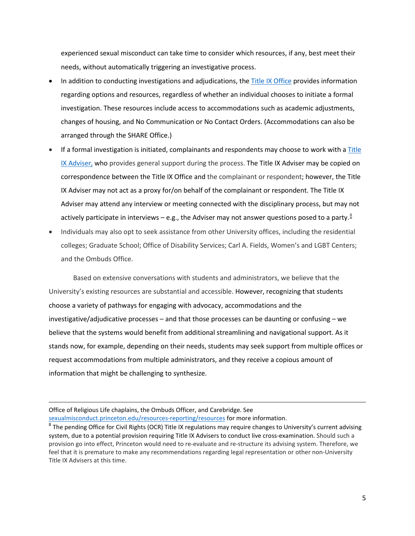experienced sexual misconduct can take time to consider which resources, if any, best meet their needs, without automatically triggering an investigative process.

- In addition to conducting investigations and adjudications, the [Title IX Office p](https://sexualmisconduct.princeton.edu/)rovides information regarding options and resources, regardless of whether an individual chooses to initiate a formal investigation. These resources include access to accommodations such as academic adjustments, changes of housing, and No Communication or No Contact Orders. (Accommodations can also be arranged through the SHARE Office.)
- If a formal investigation is initiated, complainants and respondents may choose to work with a Title correspondence between the Title IX Office and the complainant or respondent; however, the Title [IX Adviser,](https://sexualmisconductinvestigations.princeton.edu/information-parties/choosing-adviser) who provides general support during the process. The Title IX Adviser may be copied on IX Adviser may not act as a proxy for/on behalf of the complainant or respondent. The Title IX Adviser may attend any interview or meeting connected with the disciplinary process, but may not actively participate in interviews – e.g., the Adviser may not answer questions posed to a party.<sup>8</sup>
- Individuals may also opt to seek assistance from other University offices, including the residential colleges; Graduate School; Office of Disability Services; Carl A. Fields, Women's and LGBT Centers; and the Ombuds Office.

and the Ombuds Office.<br>Based on extensive conversations with students and administrators, we believe that the stands now, for example, depending on their needs, students may seek support from multiple offices or request accommodations from multiple administrators, and they receive a copious amount of information that might be challenging to synthesize. University's existing resources are substantial and accessible. However, recognizing that students choose a variety of pathways for engaging with advocacy, accommodations and the investigative/adjudicative processes – and that those processes can be daunting or confusing – we believe that the systems would benefit from additional streamlining and navigational support. As it

 $\overline{a}$ 

Office of Religious Life chaplains, the Ombuds Officer, and Carebridge. See [sexualmisconduct.princeton.edu/resources-reporting/resources f](https://sexualmisconduct.princeton.edu/resources-reporting/resources)or more information.

<span id="page-4-0"></span><sup>&</sup>lt;sup>8</sup> The pending Office for Civil Rights (OCR) Title IX regulations may require changes to University's current advising system, due to a potential provision requiring Title IX Advisers to conduct live cross-examination. Should such a provision go into effect, Princeton would need to re-evaluate and re-structure its advising system. Therefore, we feel that it is premature to make any recommendations regarding legal representation or other non-University Title IX Advisers at this time.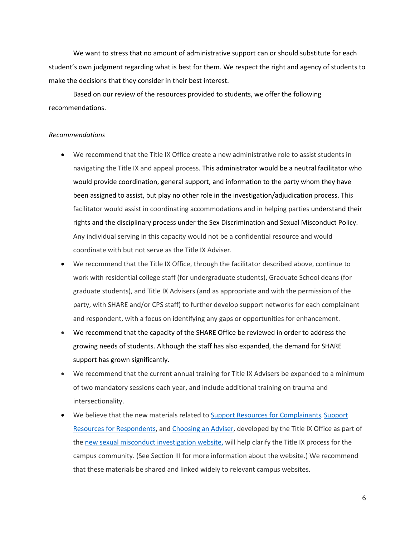student's own judgment regarding what is best for them. We respect the right and agency of students to make the decisions that they consider in their best interest. We want to stress that no amount of administrative support can or should substitute for each

Based on our review of the resources provided to students, we offer the following recommendations.

### *Recommendations*

- We recommend that the Title IX Office create a new administrative role to assist students in navigating the Title IX and appeal process. This administrator would be a neutral facilitator who been assigned to assist, but play no other role in the investigation/adjudication process. This Any individual serving in this capacity would not be a confidential resource and would coordinate with but not serve as the Title IX Adviser. would provide coordination, general support, and information to the party whom they have facilitator would assist in coordinating accommodations and in helping parties understand their rights and the disciplinary process under the Sex Discrimination and Sexual Misconduct Policy.
- graduate students), and Title IX Advisers (and as appropriate and with the permission of the party, with SHARE and/or CPS staff) to further develop support networks for each complainant and respondent, with a focus on identifying any gaps or opportunities for enhancement. We recommend that the Title IX Office, through the facilitator described above, continue to work with residential college staff (for undergraduate students), Graduate School deans (for
- We recommend that the capacity of the SHARE Office be reviewed in order to address the growing needs of students. Although the staff has also expanded, the demand for SHARE support has grown significantly.
- of two mandatory sessions each year, and include additional training on trauma and We recommend that the current annual training for Title IX Advisers be expanded to a minimum intersectionality.
- the [new sexual misconduct investigation website,](https://sexualmisconductinvestigations.princeton.edu/) will help clarify the Title IX process for the that these materials be shared and linked widely to relevant campus websites. We believe that the new materials related to [Support Resources for Complainants,](https://sexualmisconductinvestigations.princeton.edu/support-resources/support-resources-complainants) Support [Resources for Respondents,](https://sexualmisconductinvestigations.princeton.edu/support-resources/support-resources-respondents) and [Choosing an Adviser,](https://sexualmisconductinvestigations.princeton.edu/information-parties/choosing-adviser) developed by the Title IX Office as part of campus community. (See Section III for more information about the website.) We recommend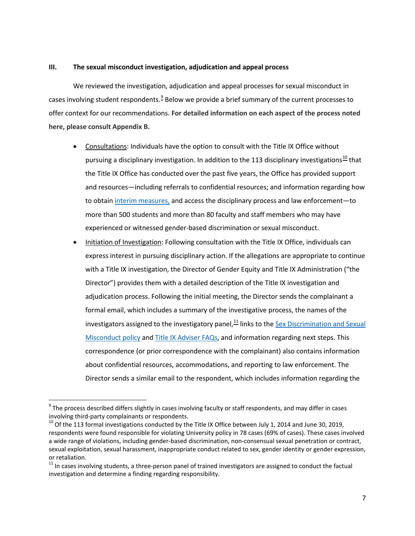# <span id="page-6-0"></span>**III. The sexual misconduct investigation, adjudication and appeal process**

 offer context for our recommendations. **For detailed information on each aspect of the process noted here, please consult Appendix B.**  We reviewed the investigation, adjudication and appeal processes for sexual misconduct in cases involving student respondents.<sup>9</sup> Below we provide a brief summary of the current processes to

- Consultations: Individuals have the option to consult with the Title IX Office without and resources—including referrals to confidential resources; and information regarding how to obtain [interim measures,](http://www.princeton.edu/pub/rrr/part1/index.xml#comp139) and access the disciplinary process and law enforcement—to more than 500 students and more than 80 faculty and staff members who may have pursuing a disciplinary investigation. In addition to the 113 disciplinary investigations<sup>10</sup> that the Title IX Office has conducted over the past five years, the Office has provided support experienced or witnessed gender-based discrimination or sexual misconduct.
- express interest in pursuing disciplinary action. If the allegations are appropriate to continue Initiation of Investigation: Following consultation with the Title IX Office, individuals can with a Title IX investigation, the Director of Gender Equity and Title IX Administration ("the Director") provides them with a detailed description of the Title IX investigation and adjudication process. Following the initial meeting, the Director sends the complainant a formal email, which includes a summary of the investigative process, the names of the investigators assigned to the investigatory panel, $^{11}$  links to the Sex Discrimination and Sexual [Misconduct policy](https://sexualmisconduct.princeton.edu/policy) and [Title IX Adviser FAQs,](https://sexualmisconductinvestigations.princeton.edu/information-parties/choosing-adviser) and information regarding next steps. This correspondence (or prior correspondence with the complainant) also contains information about confidential resources, accommodations, and reporting to law enforcement. The Director sends a similar email to the respondent, which includes information regarding the

 $\overline{a}$ 

<span id="page-6-1"></span>involving third-party complainants or respondents.  $9$  The process described differs slightly in cases involving faculty or staff respondents, and may differ in cases

<span id="page-6-2"></span> $10$  Of the 113 formal investigations conducted by the Title IX Office between July 1, 2014 and June 30, 2019, respondents were found responsible for violating University policy in 78 cases (69% of cases). These cases involved a wide range of violations, including gender-based discrimination, non-consensual sexual penetration or contract, sexual exploitation, sexual harassment, inappropriate conduct related to sex, gender identity or gender expression, or retaliation.

<span id="page-6-3"></span> $11$  In cases involving students, a three-person panel of trained investigators are assigned to conduct the factual investigation and determine a finding regarding responsibility.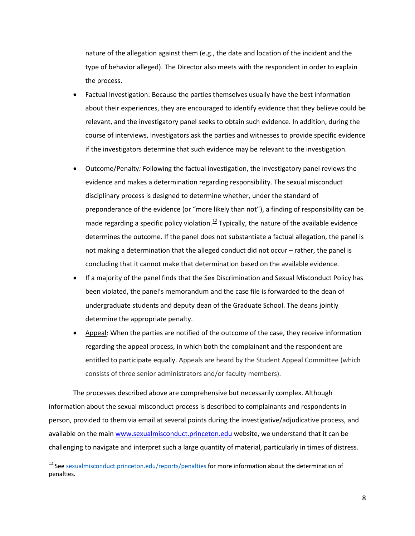nature of the allegation against them (e.g., the date and location of the incident and the type of behavior alleged). The Director also meets with the respondent in order to explain the process.

- Factual Investigation: Because the parties themselves usually have the best information relevant, and the investigatory panel seeks to obtain such evidence. In addition, during the about their experiences, they are encouraged to identify evidence that they believe could be course of interviews, investigators ask the parties and witnesses to provide specific evidence if the investigators determine that such evidence may be relevant to the investigation.
- preponderance of the evidence (or "more likely than not"), a finding of responsibility can be not making a determination that the alleged conduct did not occur – rather, the panel is Outcome/Penalty: Following the factual investigation, the investigatory panel reviews the evidence and makes a determination regarding responsibility. The sexual misconduct disciplinary process is designed to determine whether, under the standard of made regarding a specific policy violation.<sup>12</sup> Typically, the nature of the available evidence determines the outcome. If the panel does not substantiate a factual allegation, the panel is concluding that it cannot make that determination based on the available evidence.
- undergraduate students and deputy dean of the Graduate School. The deans jointly If a majority of the panel finds that the Sex Discrimination and Sexual Misconduct Policy has been violated, the panel's memorandum and the case file is forwarded to the dean of determine the appropriate penalty.
- regarding the appeal process, in which both the complainant and the respondent are • Appeal: When the parties are notified of the outcome of the case, they receive information entitled to participate equally. Appeals are heard by the Student Appeal Committee (which consists of three senior administrators and/or faculty members).

available on the mai[n www.sexualmisconduct.princeton.edu](https://sexualmisconduct.princeton.edu/) website, we understand that it can be The processes described above are comprehensive but necessarily complex. Although information about the sexual misconduct process is described to complainants and respondents in person, provided to them via email at several points during the investigative/adjudicative process, and challenging to navigate and interpret such a large quantity of material, particularly in times of distress.

**.** 

<span id="page-7-0"></span><sup>&</sup>lt;sup>12</sup> Se[e sexualmisconduct.princeton.edu/reports/penalties f](https://sexualmisconduct.princeton.edu/reports/penalties)or more information about the determination of penalties.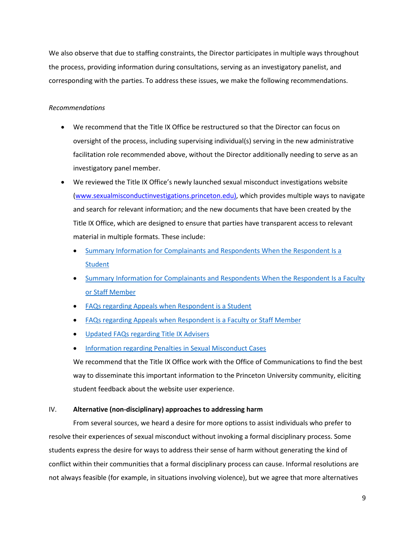<span id="page-8-0"></span> We also observe that due to staffing constraints, the Director participates in multiple ways throughout corresponding with the parties. To address these issues, we make the following recommendations. the process, providing information during consultations, serving as an investigatory panelist, and

# *Recommendations*

- We recommend that the Title IX Office be restructured so that the Director can focus on oversight of the process, including supervising individual(s) serving in the new administrative facilitation role recommended above, without the Director additionally needing to serve as an investigatory panel member.
- and search for relevant information; and the new documents that have been created by the • We reviewed the Title IX Office's newly launched sexual misconduct investigations website [\(www.sexualmisconductinvestigations.princeton.edu\)](https://sexualmisconduct.princeton.edu/investigations), which provides multiple ways to navigate Title IX Office, which are designed to ensure that parties have transparent access to relevant material in multiple formats. These include:
	- Summary Information for Complainants and Respondents When the Respondent Is a **Student**
	- Summary Information for Complainants and Respondents When the Respondent Is a Faculty [or Staff Member](https://sexualmisconductinvestigations.princeton.edu/sites/smi/files/media/summary_information_for_complainants_and_respondents_in_faculty-staff_respondent_cases_september_2019.pdf)
	- FAQs regarding Appeals when Respondent is a Student
	- FAQs regarding Appeals when Respondent is a Faculty or Staff Member
	- Updated FAQs regarding Title IX Advisers
	- **Information regarding Penalties in Sexual Misconduct Cases**

• Information regarding Penalties in Sexual Misconduct Cases<br>We recommend that the Title IX Office work with the Office of Communications to find the best way to disseminate this important information to the Princeton University community, eliciting student feedback about the website user experience.

# IV. **Alternative (non-disciplinary) approaches to addressing harm**

 students express the desire for ways to address their sense of harm without generating the kind of From several sources, we heard a desire for more options to assist individuals who prefer to resolve their experiences of sexual misconduct without invoking a formal disciplinary process. Some conflict within their communities that a formal disciplinary process can cause. Informal resolutions are not always feasible (for example, in situations involving violence), but we agree that more alternatives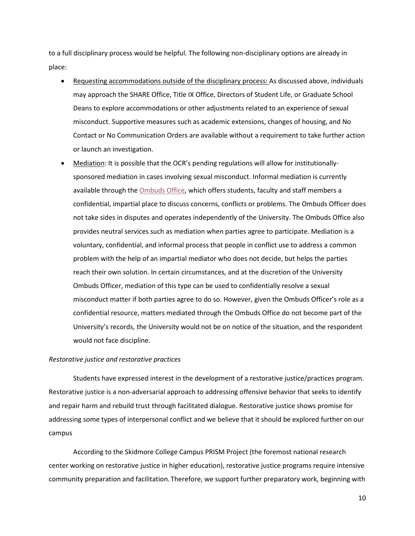to a full disciplinary process would be helpful. The following non-disciplinary options are already in place:

- Deans to explore accommodations or other adjustments related to an experience of sexual Requesting accommodations outside of the disciplinary process: As discussed above, individuals may approach the SHARE Office, Title IX Office, Directors of Student Life, or Graduate School misconduct. Supportive measures such as academic extensions, changes of housing, and No Contact or No Communication Orders are available without a requirement to take further action or launch an investigation.
- Mediation: It is possible that the OCR's pending regulations will allow for institutionally- sponsored mediation in cases involving sexual misconduct. Informal mediation is currently available through the **Ombuds Office**, which offers students, faculty and staff members a problem with the help of an impartial mediator who does not decide, but helps the parties would not face discipline. confidential, impartial place to discuss concerns, conflicts or problems. The Ombuds Officer does not take sides in disputes and operates independently of the University. The Ombuds Office also provides neutral services such as mediation when parties agree to participate. Mediation is a voluntary, confidential, and informal process that people in conflict use to address a common reach their own solution. In certain circumstances, and at the discretion of the University Ombuds Officer, mediation of this type can be used to confidentially resolve a sexual misconduct matter if both parties agree to do so. However, given the Ombuds Officer's role as a confidential resource, matters mediated through the Ombuds Office do not become part of the University's records, the University would not be on notice of the situation, and the respondent

### *Restorative justice and restorative practices*

 addressing some types of interpersonal conflict and we believe that it should be explored further on our campus Students have expressed interest in the development of a restorative justice/practices program. Restorative justice is a non-adversarial approach to addressing offensive behavior that seeks to identify and repair harm and rebuild trust through facilitated dialogue. Restorative justice shows promise for

 center working on restorative justice in higher education), restorative justice programs require intensive According to the Skidmore College Campus PRISM Project (the foremost national research community preparation and facilitation. Therefore, we support further preparatory work, beginning with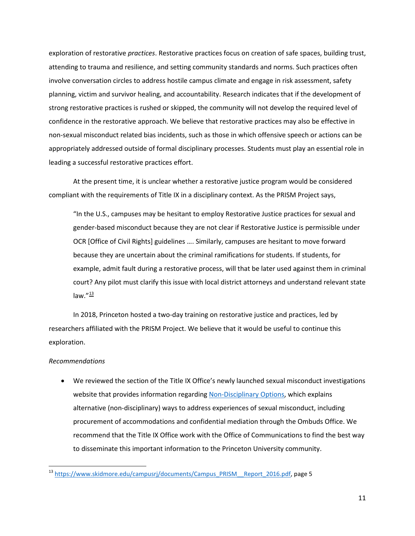non-sexual misconduct related bias incidents, such as those in which offensive speech or actions can be exploration of restorative *practices*. Restorative practices focus on creation of safe spaces, building trust, attending to trauma and resilience, and setting community standards and norms. Such practices often involve conversation circles to address hostile campus climate and engage in risk assessment, safety planning, victim and survivor healing, and accountability. Research indicates that if the development of strong restorative practices is rushed or skipped, the community will not develop the required level of confidence in the restorative approach. We believe that restorative practices may also be effective in appropriately addressed outside of formal disciplinary processes. Students must play an essential role in leading a successful restorative practices effort.

At the present time, it is unclear whether a restorative justice program would be considered compliant with the requirements of Title IX in a disciplinary context. As the PRISM Project says,

 gender-based misconduct because they are not clear if Restorative Justice is permissible under law. $^{\prime\prime}$ <sup>[13](#page-10-0)</sup> "In the U.S., campuses may be hesitant to employ Restorative Justice practices for sexual and OCR [Office of Civil Rights] guidelines …. Similarly, campuses are hesitant to move forward because they are uncertain about the criminal ramifications for students. If students, for example, admit fault during a restorative process, will that be later used against them in criminal court? Any pilot must clarify this issue with local district attorneys and understand relevant state

 researchers affiliated with the PRISM Project. We believe that it would be useful to continue this In 2018, Princeton hosted a two-day training on restorative justice and practices, led by exploration.

## *Recommendations*

 $\overline{a}$ 

• We reviewed the section of the Title IX Office's newly launched sexual misconduct investigations alternative (non-disciplinary) ways to address experiences of sexual misconduct, including recommend that the Title IX Office work with the Office of Communications to find the best way website that provides information regardin[g Non-Disciplinary Options,](https://sexualmisconductinvestigations.princeton.edu/non-disciplinary-options) which explains procurement of accommodations and confidential mediation through the Ombuds Office. We to disseminate this important information to the Princeton University community.

<span id="page-10-0"></span><sup>&</sup>lt;sup>13</sup> [https://www.skidmore.edu/campusrj/documents/Campus\\_PRISM\\_\\_Report\\_2016.pdf,](https://www.skidmore.edu/campusrj/documents/Campus_PRISM__Report_2016.pdf) page 5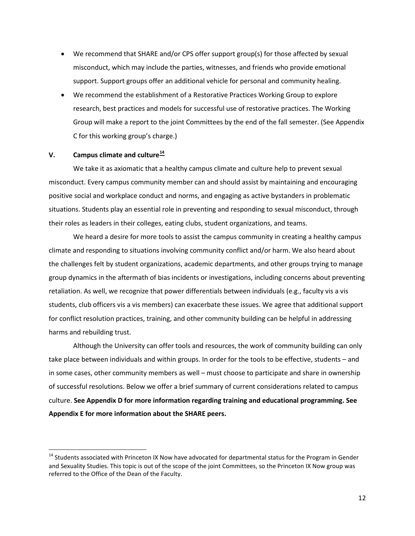- <span id="page-11-0"></span>• We recommend that SHARE and/or CPS offer support group(s) for those affected by sexual misconduct, which may include the parties, witnesses, and friends who provide emotional support. Support groups offer an additional vehicle for personal and community healing.
- We recommend the establishment of a Restorative Practices Working Group to explore research, best practices and models for successful use of restorative practices. The Working Group will make a report to the joint Committees by the end of the fall semester. (See Appendix C for this working group's charge.)

# **V. Campus climate and culture[14](#page-11-1)**

 $\overline{a}$ 

 We take it as axiomatic that a healthy campus climate and culture help to prevent sexual misconduct. Every campus community member can and should assist by maintaining and encouraging their roles as leaders in their colleges, eating clubs, student organizations, and teams. positive social and workplace conduct and norms, and engaging as active bystanders in problematic situations. Students play an essential role in preventing and responding to sexual misconduct, through

 retaliation. As well, we recognize that power differentials between individuals (e.g., faculty vis a vis students, club officers vis a vis members) can exacerbate these issues. We agree that additional support We heard a desire for more tools to assist the campus community in creating a healthy campus climate and responding to situations involving community conflict and/or harm. We also heard about the challenges felt by student organizations, academic departments, and other groups trying to manage group dynamics in the aftermath of bias incidents or investigations, including concerns about preventing for conflict resolution practices, training, and other community building can be helpful in addressing harms and rebuilding trust.

 of successful resolutions. Below we offer a brief summary of current considerations related to campus **Appendix E for more information about the SHARE peers.** Although the University can offer tools and resources, the work of community building can only take place between individuals and within groups. In order for the tools to be effective, students – and in some cases, other community members as well – must choose to participate and share in ownership culture. **See Appendix D for more information regarding training and educational programming. See** 

<span id="page-11-1"></span>referred to the Office of the Dean of the Faculty. <sup>14</sup> Students associated with Princeton IX Now have advocated for departmental status for the Program in Gender and Sexuality Studies. This topic is out of the scope of the joint Committees, so the Princeton IX Now group was referred to the Office of the Dean of the Faculty.<br>12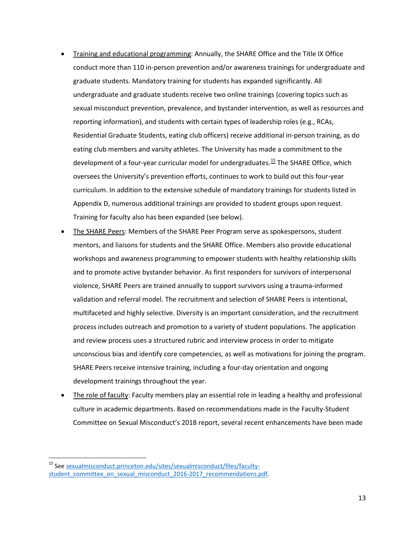- conduct more than 110 in-person prevention and/or awareness trainings for undergraduate and sexual misconduct prevention, prevalence, and bystander intervention, as well as resources and reporting information), and students with certain types of leadership roles (e.g., RCAs, Appendix D, numerous additional trainings are provided to student groups upon request. Training and educational programming: Annually, the SHARE Office and the Title IX Office graduate students. Mandatory training for students has expanded significantly. All undergraduate and graduate students receive two online trainings (covering topics such as Residential Graduate Students, eating club officers) receive additional in-person training, as do eating club members and varsity athletes. The University has made a commitment to the development of a four-year curricular model for undergraduates.<sup>15</sup> The SHARE Office, which oversees the University's prevention efforts, continues to work to build out this four-year curriculum. In addition to the extensive schedule of mandatory trainings for students listed in Training for faculty also has been expanded (see below).
- workshops and awareness programming to empower students with healthy relationship skills process includes outreach and promotion to a variety of student populations. The application and review process uses a structured rubric and interview process in order to mitigate The SHARE Peers: Members of the SHARE Peer Program serve as spokespersons, student mentors, and liaisons for students and the SHARE Office. Members also provide educational and to promote active bystander behavior. As first responders for survivors of interpersonal violence, SHARE Peers are trained annually to support survivors using a trauma-informed validation and referral model. The recruitment and selection of SHARE Peers is intentional, multifaceted and highly selective. Diversity is an important consideration, and the recruitment unconscious bias and identify core competencies, as well as motivations for joining the program. SHARE Peers receive intensive training, including a four-day orientation and ongoing development trainings throughout the year.
- The role of faculty: Faculty members play an essential role in leading a healthy and professional culture in academic departments. Based on recommendations made in the Faculty-Student Committee on Sexual Misconduct's 2018 report, several recent enhancements have been made

 $\overline{a}$ 

<span id="page-12-0"></span><sup>&</sup>lt;sup>15</sup> Se[e sexualmisconduct.princeton.edu/sites/sexualmisconduct/files/faculty](https://sexualmisconduct.princeton.edu/sites/sexualmisconduct/files/faculty-student_committee_on_sexual_misconduct_2016-2017_recommendations.pdf)student committee on sexual misconduct 2016-2017 recommendations.pdf.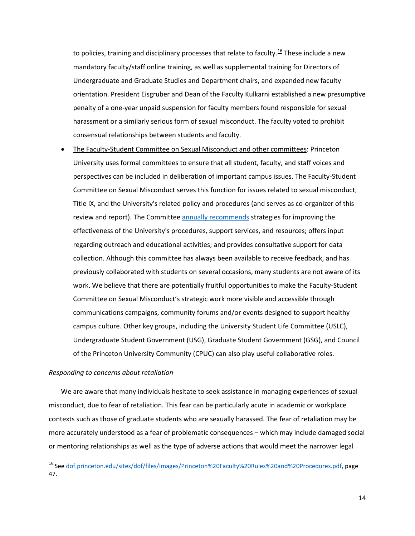harassment or a similarly serious form of sexual misconduct. The faculty voted to prohibit to policies, training and disciplinary processes that relate to faculty.<sup>16</sup> These include a new mandatory faculty/staff online training, as well as supplemental training for Directors of Undergraduate and Graduate Studies and Department chairs, and expanded new faculty orientation. President Eisgruber and Dean of the Faculty Kulkarni established a new presumptive penalty of a one-year unpaid suspension for faculty members found responsible for sexual consensual relationships between students and faculty.

 regarding outreach and educational activities; and provides consultative support for data previously collaborated with students on several occasions, many students are not aware of its Undergraduate Student Government (USG), Graduate Student Government (GSG), and Council of the Princeton University Community (CPUC) can also play useful collaborative roles. The Faculty-Student Committee on Sexual Misconduct and other committees: Princeton University uses formal committees to ensure that all student, faculty, and staff voices and perspectives can be included in deliberation of important campus issues. The Faculty-Student Committee on Sexual Misconduct serves this function for issues related to sexual misconduct, Title IX, and the University's related policy and procedures (and serves as co-organizer of this review and report). The Committe[e annually recommends](https://sexualmisconduct.princeton.edu/reports) strategies for improving the effectiveness of the University's procedures, support services, and resources; offers input collection. Although this committee has always been available to receive feedback, and has work. We believe that there are potentially fruitful opportunities to make the Faculty-Student Committee on Sexual Misconduct's strategic work more visible and accessible through communications campaigns, community forums and/or events designed to support healthy campus culture. Other key groups, including the University Student Life Committee (USLC),

## *Responding to concerns about retaliation*

 $\overline{\phantom{a}}$ 

 We are aware that many individuals hesitate to seek assistance in managing experiences of sexual contexts such as those of graduate students who are sexually harassed. The fear of retaliation may be or mentoring relationships as well as the type of adverse actions that would meet the narrower legal misconduct, due to fear of retaliation. This fear can be particularly acute in academic or workplace more accurately understood as a fear of problematic consequences – which may include damaged social

<span id="page-13-0"></span><sup>&</sup>lt;sup>16</sup> Se[e dof.princeton.edu/sites/dof/files/images/Princeton%20Faculty%20Rules%20and%20Procedures.pdf,](https://dof.princeton.edu/sites/dof/files/images/Princeton%20Faculty%20Rules%20and%20Procedures.pdf) page 47.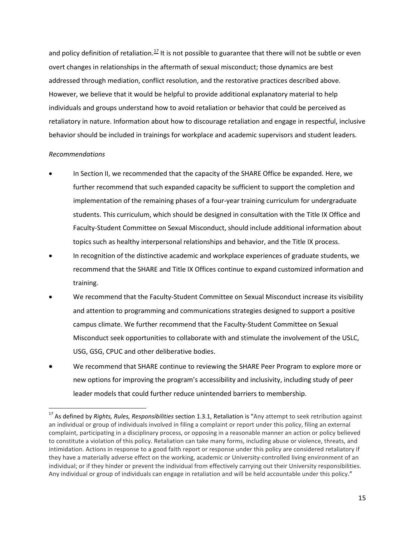and policy definition of retaliation.<sup>[17](#page-14-0)</sup> It is not possible to guarantee that there will not be subtle or even addressed through mediation, conflict resolution, and the restorative practices described above. overt changes in relationships in the aftermath of sexual misconduct; those dynamics are best However, we believe that it would be helpful to provide additional explanatory material to help individuals and groups understand how to avoid retaliation or behavior that could be perceived as retaliatory in nature. Information about how to discourage retaliation and engage in respectful, inclusive behavior should be included in trainings for workplace and academic supervisors and student leaders.

# *Recommendations*

 $\overline{\phantom{a}}$ 

- In Section II, we recommended that the capacity of the SHARE Office be expanded. Here, we further recommend that such expanded capacity be sufficient to support the completion and implementation of the remaining phases of a four-year training curriculum for undergraduate students. This curriculum, which should be designed in consultation with the Title IX Office and Faculty-Student Committee on Sexual Misconduct, should include additional information about topics such as healthy interpersonal relationships and behavior, and the Title IX process.
- recommend that the SHARE and Title IX Offices continue to expand customized information and In recognition of the distinctive academic and workplace experiences of graduate students, we training.
- Misconduct seek opportunities to collaborate with and stimulate the involvement of the USLC, USG, GSG, CPUC and other deliberative bodies. We recommend that the Faculty-Student Committee on Sexual Misconduct increase its visibility and attention to programming and communications strategies designed to support a positive campus climate. We further recommend that the Faculty-Student Committee on Sexual
- We recommend that SHARE continue to reviewing the SHARE Peer Program to explore more or new options for improving the program's accessibility and inclusivity, including study of peer leader models that could further reduce unintended barriers to membership.

<span id="page-14-0"></span><sup>17</sup> As defined by *Rights, Rules, Responsibilities* section 1.3.1, Retaliation is "Any attempt to seek retribution against an individual or group of individuals involved in filing a complaint or report under this policy, filing an external complaint, participating in a disciplinary process, or opposing in a reasonable manner an action or policy believed to constitute a violation of this policy. Retaliation can take many forms, including abuse or violence, threats, and intimidation. Actions in response to a good faith report or response under this policy are considered retaliatory if they have a materially adverse effect on the working, academic or University-controlled living environment of an individual; or if they hinder or prevent the individual from effectively carrying out their University responsibilities. Any individual or group of individuals can engage in retaliation and will be held accountable under this policy."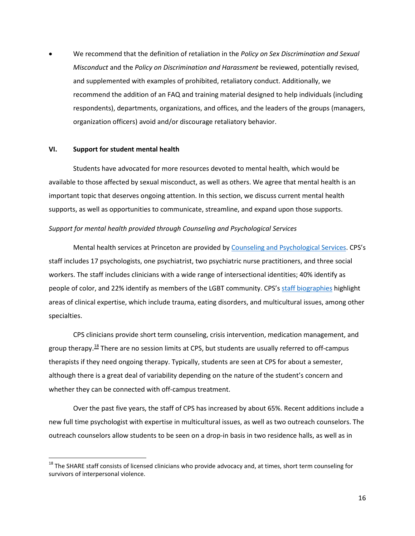<span id="page-15-0"></span>We recommend that the definition of retaliation in the *Policy on Sex Discrimination and Sexual Misconduct* and the *Policy on Discrimination and Harassment* be reviewed, potentially revised, and supplemented with examples of prohibited, retaliatory conduct. Additionally, we recommend the addition of an FAQ and training material designed to help individuals (including respondents), departments, organizations, and offices, and the leaders of the groups (managers, organization officers) avoid and/or discourage retaliatory behavior.

## **VI. Support for student mental health**

 $\overline{\phantom{a}}$ 

 available to those affected by sexual misconduct, as well as others. We agree that mental health is an important topic that deserves ongoing attention. In this section, we discuss current mental health Students have advocated for more resources devoted to mental health, which would be supports, as well as opportunities to communicate, streamline, and expand upon those supports.

#### *Support for mental health provided through Counseling and Psychological Services*

people of color, and 22% identify as members of the LGBT community. CPS's staff biographies highlight Mental health services at Princeton are provided b[y Counseling and Psychological Services.](https://uhs.princeton.edu/counseling-psychological-services) CPS's staff includes 17 psychologists, one psychiatrist, two psychiatric nurse practitioners, and three social workers. The staff includes clinicians with a wide range of intersectional identities; 40% identify as areas of clinical expertise, which include trauma, eating disorders, and multicultural issues, among other specialties.

 CPS clinicians provide short term counseling, crisis intervention, medication management, and group therapy.<sup>18</sup> There are no session limits at CPS, but students are usually referred to off-campus therapists if they need ongoing therapy. Typically, students are seen at CPS for about a semester, although there is a great deal of variability depending on the nature of the student's concern and whether they can be connected with off-campus treatment.

 new full time psychologist with expertise in multicultural issues, as well as two outreach counselors. The Over the past five years, the staff of CPS has increased by about 65%. Recent additions include a outreach counselors allow students to be seen on a drop-in basis in two residence halls, as well as in

<span id="page-15-1"></span><sup>&</sup>lt;sup>18</sup> The SHARE staff consists of licensed clinicians who provide advocacy and, at times, short term counseling for survivors of interpersonal violence.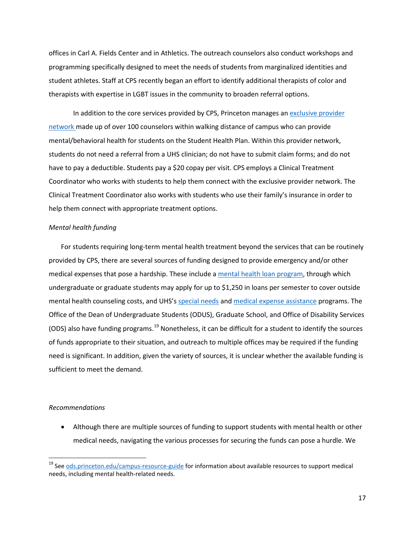offices in Carl A. Fields Center and in Athletics. The outreach counselors also conduct workshops and therapists with expertise in LGBT issues in the community to broaden referral options. programming specifically designed to meet the needs of students from marginalized identities and student athletes. Staff at CPS recently began an effort to identify additional therapists of color and

In addition to the core services provided by CPS, Princeton manages an exclusive provider [network m](https://uhs.princeton.edu/student-insurance/student-health-plan/exclusive-provider-network-epn-mental-behavioral-health)ade up of over 100 counselors within walking distance of campus who can provide mental/behavioral health for students on the Student Health Plan. Within this provider network, Clinical Treatment Coordinator also works with students who use their family's insurance in order to students do not need a referral from a UHS clinician; do not have to submit claim forms; and do not have to pay a deductible. Students pay a \$20 copay per visit. CPS employs a Clinical Treatment Coordinator who works with students to help them connect with the exclusive provider network. The help them connect with appropriate treatment options.

## *Mental health funding*

 undergraduate or graduate students may apply for up to \$1,250 in loans per semester to cover outside Office of the Dean of Undergraduate Students (ODUS), Graduate School, and Office of Disability Services of funds appropriate to their situation, and outreach to multiple offices may be required if the funding sufficient to meet the demand. For students requiring long-term mental health treatment beyond the services that can be routinely provided by CPS, there are several sources of funding designed to provide emergency and/or other medical expenses that pose a hardship. These include a [mental health loan program,](https://uhs.princeton.edu/using-our-services/costs-billing) through which mental health counseling costs, and UHS's [special needs](https://uhs.princeton.edu/using-our-services/costs-billing) an[d medical expense assistance p](https://gradschool.princeton.edu/costs-funding/sources-funding/assistance-programs/medical-expense-assistance)rograms. The (ODS) also have funding programs.<sup>[19](#page-16-0)</sup> Nonetheless, it can be difficult for a student to identify the sources need is significant. In addition, given the variety of sources, it is unclear whether the available funding is

### *Recommendations*

 $\overline{\phantom{a}}$ 

• Although there are multiple sources of funding to support students with mental health or other medical needs, navigating the various processes for securing the funds can pose a hurdle. We

<span id="page-16-0"></span><sup>&</sup>lt;sup>19</sup> Se[e ods.princeton.edu/campus-resource-guide f](https://ods.princeton.edu/campus-resource-guide)or information about available resources to support medical needs, including mental health-related needs.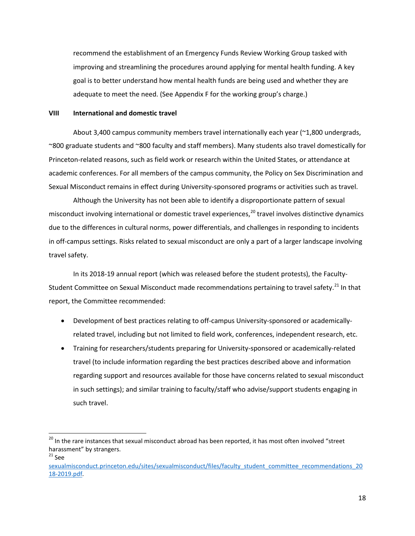<span id="page-17-0"></span> adequate to meet the need. (See Appendix F for the working group's charge.) recommend the establishment of an Emergency Funds Review Working Group tasked with improving and streamlining the procedures around applying for mental health funding. A key goal is to better understand how mental health funds are being used and whether they are

## **VIII International and domestic travel**

 About 3,400 campus community members travel internationally each year (~1,800 undergrads, Princeton-related reasons, such as field work or research within the United States, or attendance at academic conferences. For all members of the campus community, the Policy on Sex Discrimination and ~800 graduate students and ~800 faculty and staff members). Many students also travel domestically for Sexual Misconduct remains in effect during University-sponsored programs or activities such as travel.

 Although the University has not been able to identify a disproportionate pattern of sexual misconduct involving international or domestic travel experiences,<sup>20</sup> travel involves distinctive dynamics due to the differences in cultural norms, power differentials, and challenges in responding to incidents in off-campus settings. Risks related to sexual misconduct are only a part of a larger landscape involving travel safety.

 In its 2018-19 annual report (which was released before the student protests), the Faculty-Student Committee on Sexual Misconduct made recommendations pertaining to travel safety.<sup>[21](#page-17-2)</sup> In that report, the Committee recommended:

- Development of best practices relating to off-campus University-sponsored or academicallyrelated travel, including but not limited to field work, conferences, independent research, etc.
- Training for researchers/students preparing for University-sponsored or academically-related travel (to include information regarding the best practices described above and information regarding support and resources available for those have concerns related to sexual misconduct in such settings); and similar training to faculty/staff who advise/support students engaging in such travel.

<span id="page-17-2"></span> $21$  See

l

<span id="page-17-1"></span><sup>&</sup>lt;sup>20</sup> In the rare instances that sexual misconduct abroad has been reported, it has most often involved "street harassment" by strangers.

sexualmisconduct.princeton.edu/sites/sexualmisconduct/files/faculty\_student\_committee\_recommendations\_20 [18-2019.pdf.](https://sexualmisconduct.princeton.edu/sites/sexualmisconduct/files/faculty_student_committee_recommendations_2018-2019.pdf)